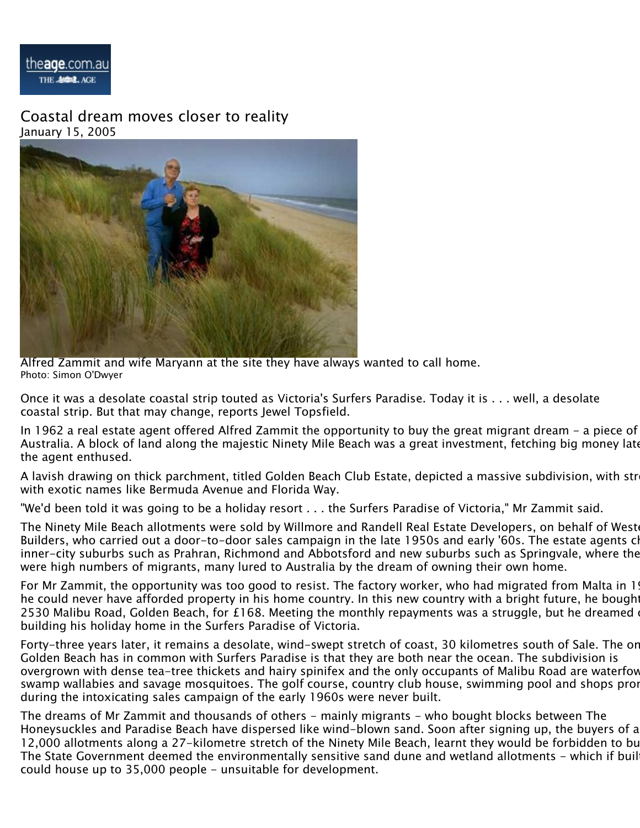

Coastal dream moves closer to reality January 15, 2005



Alfred Zammit and wife Maryann at the site they have always wanted to call home. Photo: Simon O'Dwyer

Once it was a desolate coastal strip touted as Victoria's Surfers Paradise. Today it is . . . well, a desolate coastal strip. But that may change, reports Jewel Topsfield.

In 1962 a real estate agent offered Alfred Zammit the opportunity to buy the great migrant dream - a piece of Australia. A block of land along the majestic Ninety Mile Beach was a great investment, fetching big money late the agent enthused.

A lavish drawing on thick parchment, titled Golden Beach Club Estate, depicted a massive subdivision, with str with exotic names like Bermuda Avenue and Florida Way.

"We'd been told it was going to be a holiday resort . . . the Surfers Paradise of Victoria," Mr Zammit said.

The Ninety Mile Beach allotments were sold by Willmore and Randell Real Estate Developers, on behalf of West Builders, who carried out a door-to-door sales campaign in the late 1950s and early '60s. The estate agents cl inner-city suburbs such as Prahran, Richmond and Abbotsford and new suburbs such as Springvale, where there were high numbers of migrants, many lured to Australia by the dream of owning their own home.

For Mr Zammit, the opportunity was too good to resist. The factory worker, who had migrated from Malta in 1944, said and the Said and the factory worker, who had migrated from Malta in he could never have afforded property in his home country. In this new country with a bright future, he bought 2530 Malibu Road, Golden Beach, for £168. Meeting the monthly repayments was a struggle, but he dreamed building his holiday home in the Surfers Paradise of Victoria.

Forty-three years later, it remains a desolate, wind-swept stretch of coast, 30 kilometres south of Sale. The or Golden Beach has in common with Surfers Paradise is that they are both near the ocean. The subdivision is overgrown with dense tea-tree thickets and hairy spinifex and the only occupants of Malibu Road are waterfov swamp wallabies and savage mosquitoes. The golf course, country club house, swimming pool and shops proi during the intoxicating sales campaign of the early 1960s were never built.

The dreams of Mr Zammit and thousands of others - mainly migrants - who bought blocks between The Honeysuckles and Paradise Beach have dispersed like wind-blown sand. Soon after signing up, the buyers of a 12,000 allotments along a 27-kilometre stretch of the Ninety Mile Beach, learnt they would be forbidden to bu The State Government deemed the environmentally sensitive sand dune and wetland allotments - which if buil could house up to 35,000 people - unsuitable for development.